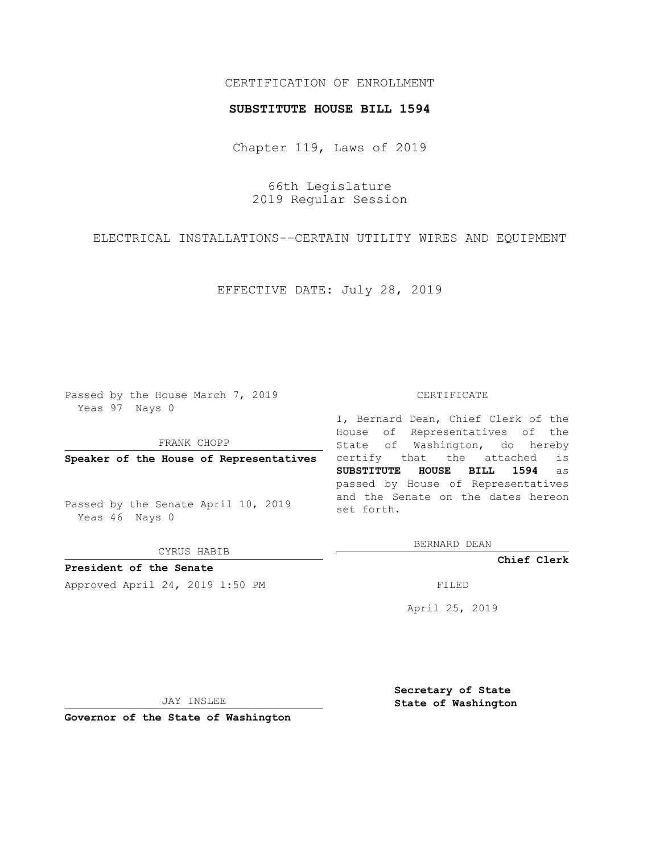## CERTIFICATION OF ENROLLMENT

## **SUBSTITUTE HOUSE BILL 1594**

Chapter 119, Laws of 2019

66th Legislature 2019 Regular Session

ELECTRICAL INSTALLATIONS--CERTAIN UTILITY WIRES AND EQUIPMENT

EFFECTIVE DATE: July 28, 2019

Passed by the House March 7, 2019 Yeas 97 Nays 0

FRANK CHOPP

**Speaker of the House of Representatives**

Passed by the Senate April 10, 2019 Yeas 46 Nays 0

CYRUS HABIB

**President of the Senate**

Approved April 24, 2019 1:50 PM FILED

## CERTIFICATE

I, Bernard Dean, Chief Clerk of the House of Representatives of the State of Washington, do hereby certify that the attached is **SUBSTITUTE HOUSE BILL 1594** as passed by House of Representatives and the Senate on the dates hereon set forth.

BERNARD DEAN

**Chief Clerk**

April 25, 2019

JAY INSLEE

**Governor of the State of Washington**

**Secretary of State State of Washington**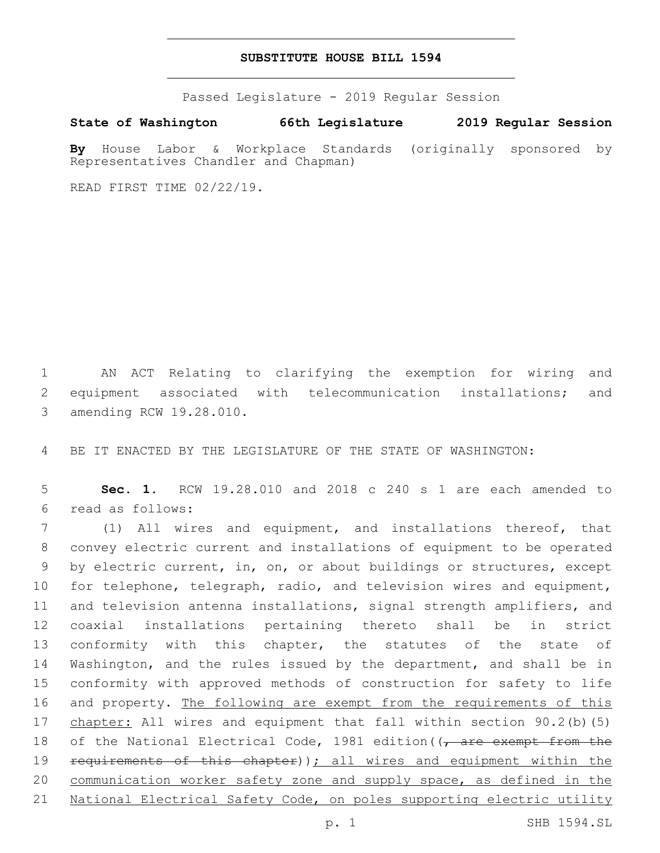## **SUBSTITUTE HOUSE BILL 1594**

Passed Legislature - 2019 Regular Session

**State of Washington 66th Legislature 2019 Regular Session**

**By** House Labor & Workplace Standards (originally sponsored by Representatives Chandler and Chapman)

READ FIRST TIME 02/22/19.

1 AN ACT Relating to clarifying the exemption for wiring and 2 equipment associated with telecommunication installations; and 3 amending RCW 19.28.010.

4 BE IT ENACTED BY THE LEGISLATURE OF THE STATE OF WASHINGTON:

5 **Sec. 1.** RCW 19.28.010 and 2018 c 240 s 1 are each amended to read as follows:6

7 (1) All wires and equipment, and installations thereof, that 8 convey electric current and installations of equipment to be operated 9 by electric current, in, on, or about buildings or structures, except 10 for telephone, telegraph, radio, and television wires and equipment, 11 and television antenna installations, signal strength amplifiers, and 12 coaxial installations pertaining thereto shall be in strict 13 conformity with this chapter, the statutes of the state of 14 Washington, and the rules issued by the department, and shall be in 15 conformity with approved methods of construction for safety to life 16 and property. The following are exempt from the requirements of this 17 chapter: All wires and equipment that fall within section 90.2(b)(5) 18 of the National Electrical Code, 1981 edition ( $\sqrt{a^2 + b^2}$  from the 19 requirements of this chapter)); all wires and equipment within the 20 communication worker safety zone and supply space, as defined in the 21 National Electrical Safety Code, on poles supporting electric utility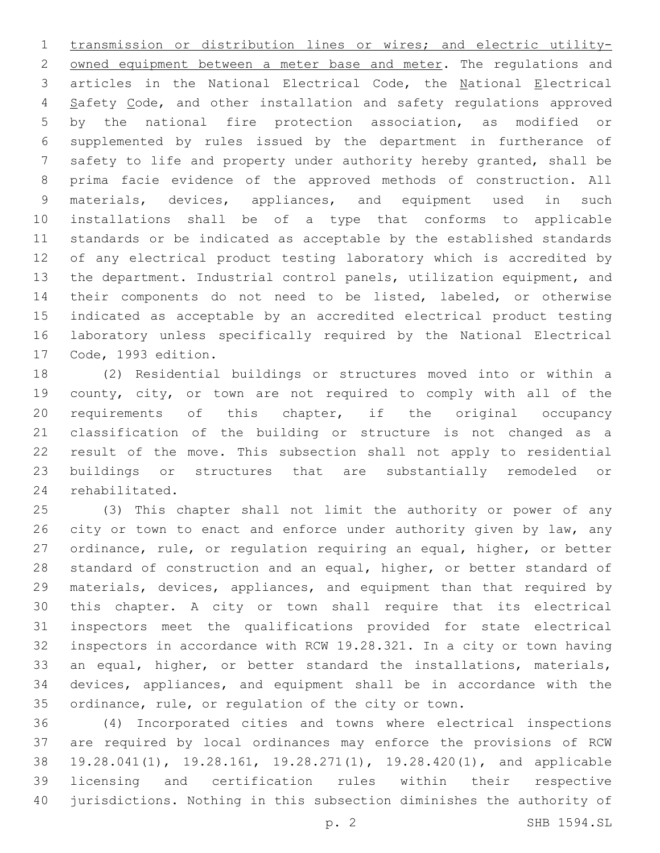transmission or distribution lines or wires; and electric utility-2 owned equipment between a meter base and meter. The regulations and articles in the National Electrical Code, the National Electrical 4 Safety Code, and other installation and safety regulations approved by the national fire protection association, as modified or supplemented by rules issued by the department in furtherance of safety to life and property under authority hereby granted, shall be prima facie evidence of the approved methods of construction. All materials, devices, appliances, and equipment used in such installations shall be of a type that conforms to applicable standards or be indicated as acceptable by the established standards of any electrical product testing laboratory which is accredited by the department. Industrial control panels, utilization equipment, and their components do not need to be listed, labeled, or otherwise indicated as acceptable by an accredited electrical product testing laboratory unless specifically required by the National Electrical 17 Code, 1993 edition.

 (2) Residential buildings or structures moved into or within a county, city, or town are not required to comply with all of the requirements of this chapter, if the original occupancy classification of the building or structure is not changed as a result of the move. This subsection shall not apply to residential buildings or structures that are substantially remodeled or 24 rehabilitated.

 (3) This chapter shall not limit the authority or power of any 26 city or town to enact and enforce under authority given by law, any ordinance, rule, or regulation requiring an equal, higher, or better standard of construction and an equal, higher, or better standard of materials, devices, appliances, and equipment than that required by this chapter. A city or town shall require that its electrical inspectors meet the qualifications provided for state electrical inspectors in accordance with RCW 19.28.321. In a city or town having an equal, higher, or better standard the installations, materials, devices, appliances, and equipment shall be in accordance with the ordinance, rule, or regulation of the city or town.

 (4) Incorporated cities and towns where electrical inspections are required by local ordinances may enforce the provisions of RCW 19.28.041(1), 19.28.161, 19.28.271(1), 19.28.420(1), and applicable licensing and certification rules within their respective jurisdictions. Nothing in this subsection diminishes the authority of

p. 2 SHB 1594.SL